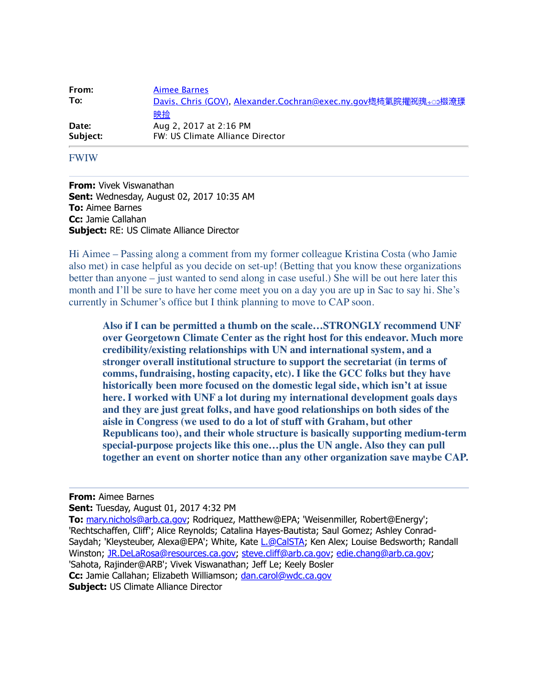| From:    | <b>Aimee Barnes</b>                                                   |
|----------|-----------------------------------------------------------------------|
| To:      | <u>Davis, Chris (GOV), Alexander.Cochran@exec.ny.gov楤柿氭睆擢紉瑰∻ා</u> 楼潦瑮 |
|          | 映捡                                                                    |
| Date:    | Aug 2, 2017 at 2:16 PM                                                |
| Subject: | FW: US Climate Alliance Director                                      |

## FWIW

**From:** Vivek Viswanathan **Sent:** Wednesday, August 02, 2017 10:35 AM **To:** Aimee Barnes **Cc:** Jamie Callahan **Subject:** RE: US Climate Alliance Director

Hi Aimee – Passing along a comment from my former colleague Kristina Costa (who Jamie also met) in case helpful as you decide on set-up! (Betting that you know these organizations better than anyone – just wanted to send along in case useful.) She will be out here later this month and I'll be sure to have her come meet you on a day you are up in Sac to say hi. She's currently in Schumer's office but I think planning to move to CAP soon.

**Also if I can be permitted a thumb on the scale…STRONGLY recommend UNF over Georgetown Climate Center as the right host for this endeavor. Much more credibility/existing relationships with UN and international system, and a stronger overall institutional structure to support the secretariat (in terms of comms, fundraising, hosting capacity, etc). I like the GCC folks but they have historically been more focused on the domestic legal side, which isn't at issue here. I worked with UNF a lot during my international development goals days and they are just great folks, and have good relationships on both sides of the aisle in Congress (we used to do a lot of stuff with Graham, but other Republicans too), and their whole structure is basically supporting medium-term special-purpose projects like this one…plus the UN angle. Also they can pull together an event on shorter notice than any other organization save maybe CAP.**

**From:** Aimee Barnes

**Sent:** Tuesday, August 01, 2017 4:32 PM

**To:** [mary.nichols@arb.ca.gov;](mailto:mary.nichols@arb.ca.gov) Rodriquez, Matthew@EPA; 'Weisenmiller, Robert@Energy'; 'Rechtschaffen, Cliff'; Alice Reynolds; Catalina Hayes-Bautista; Saul Gomez; Ashley Conrad-Saydah; 'Kleysteuber, Alexa@EPA'; White, Kate [L.@CalSTA](mailto:L.@CalSTA); Ken Alex; Louise Bedsworth; Randall Winston; [JR.DeLaRosa@resources.ca.gov](mailto:JR.DeLaRosa@resources.ca.gov); [steve.cliff@arb.ca.gov](mailto:steve.cliff@arb.ca.gov); [edie.chang@arb.ca.gov;](mailto:edie.chang@arb.ca.gov) 'Sahota, Rajinder@ARB'; Vivek Viswanathan; Jeff Le; Keely Bosler **Cc:** Jamie Callahan; Elizabeth Williamson; [dan.carol@wdc.ca.gov](mailto:dan.carol@wdc.ca.gov) **Subject:** US Climate Alliance Director